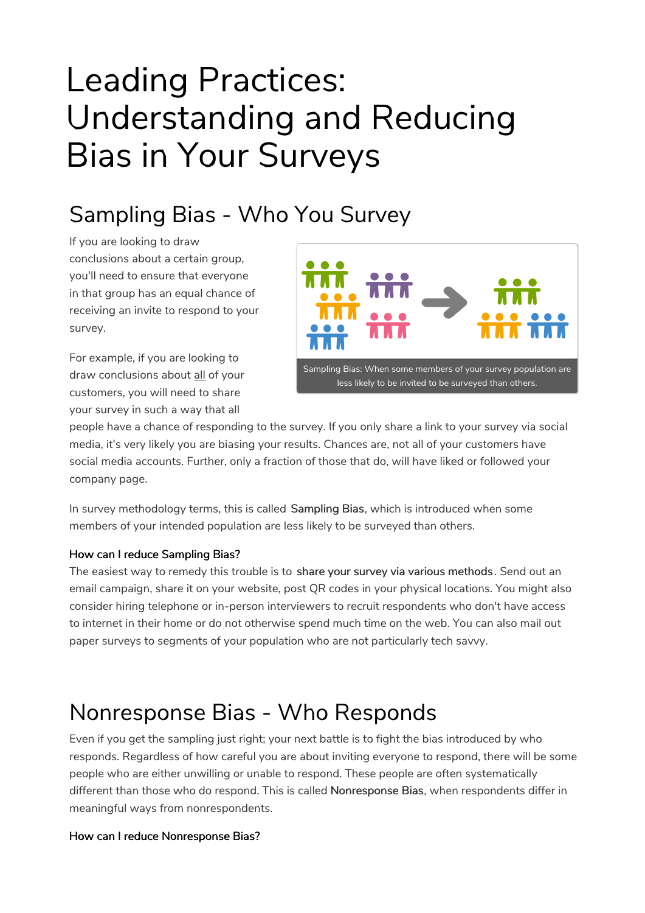# Leading Practices: Understanding and Reducing Bias in Your Surveys

## Sampling Bias - Who You Survey

If you are looking to draw conclusions about a certain group, you'll need to ensure that everyone in that group has an equal chance of receiving an invite to respond to your survey.

For example, if you are looking to draw conclusions about all of your customers, you will need to share your survey in such a way that all



people have a chance of responding to the survey. If you only share a link to your survey via social media, it's very likely you are biasing your results. Chances are, not all of your customers have social media accounts. Further, only a fraction of those that do, will have liked or followed your company page.

In survey methodology terms, this is called Sampling Bias, which is introduced when some members of your intended population are less likely to be surveyed than others.

### How can I reduce Sampling Bias?

The easiest way to remedy this trouble is to share your survey via various methods. Send out an email campaign, share it on your website, post QR codes in your physical locations. You might also consider hiring telephone or in-person interviewers to recruit respondents who don't have access to internet in their home or do not otherwise spend much time on the web. You can also mail out paper surveys to segments of your population who are not particularly tech savvy.

### Nonresponse Bias - Who Responds

Even if you get the sampling just right; your next battle is to fight the bias introduced by who responds. Regardless of how careful you are about inviting everyone to respond, there will be some people who are either unwilling or unable to respond. These people are often systematically different than those who do respond. This is called Nonresponse Bias, when respondents differ in meaningful ways from nonrespondents.

### How can I reduce Nonresponse Bias?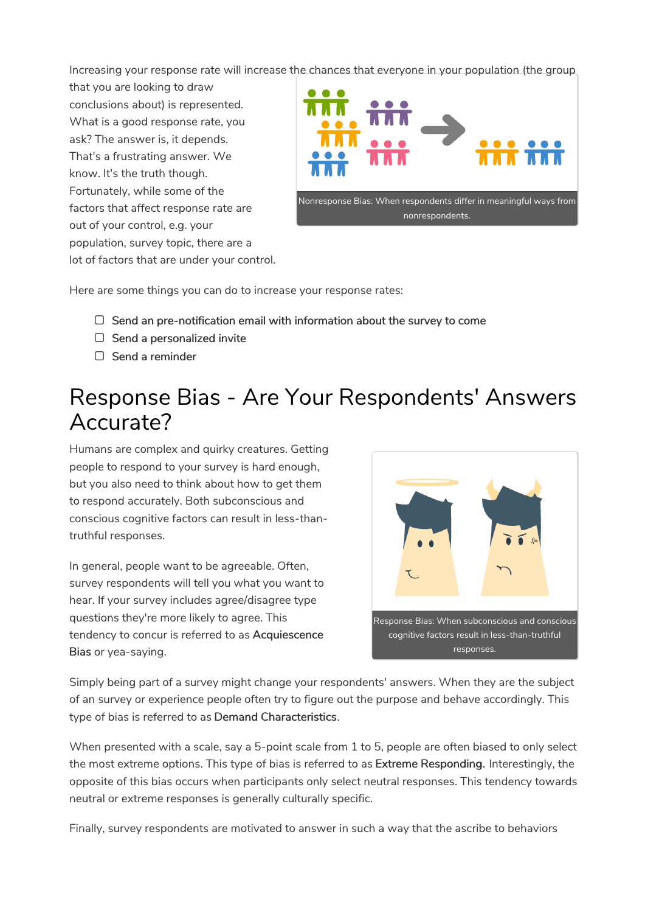Increasing your response rate will increase the chances that everyone in your population (the group

that you are looking to draw conclusions about) is represented. What is a good response rate, you ask? The answer is, it depends. That's a frustrating answer. We know. It's the truth though. Fortunately, while some of the factors that affect response rate are out of your control, e.g. your population, survey topic, there are a lot of factors that are under your control.



Here are some things you can do to increase your response rates:

- $\Box$  Send an pre-notification email with information about the survey to come
- $\Box$  Send a personalized invite
- $\Box$  Send a reminder

### Response Bias - Are Your Respondents' Answers Accurate?

Humans are complex and quirky creatures. Getting people to respond to your survey is hard enough, but you also need to think about how to get them to respond accurately. Both subconscious and conscious cognitive factors can result in less-thantruthful responses.

In general, people want to be agreeable. Often, survey respondents will tell you what you want to hear. If your survey includes agree/disagree type questions they're more likely to agree. This tendency to concur is referred to as Acquiescence Bias or yea-saying.



Simply being part of a survey might change your respondents' answers. When they are the subject of an survey or experience people often try to figure out the purpose and behave accordingly. This type of bias is referred to as Demand Characteristics.

When presented with a scale, say a 5-point scale from 1 to 5, people are often biased to only select the most extreme options. This type of bias is referred to as Extreme Responding. Interestingly, the opposite of this bias occurs when participants only select neutral responses. This tendency towards neutral or extreme responses is generally culturally specific.

Finally, survey respondents are motivated to answer in such a way that the ascribe to behaviors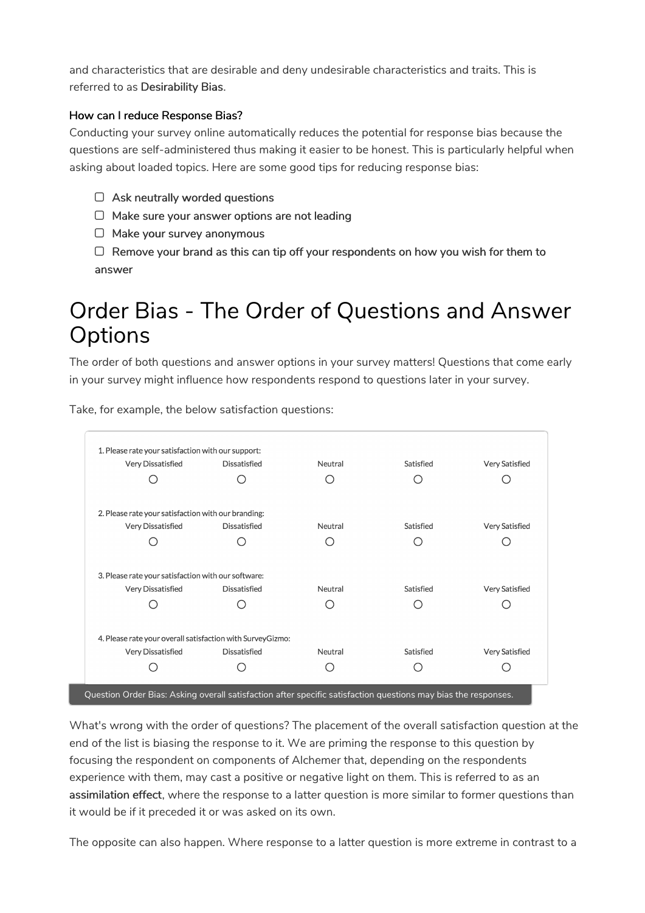and characteristics that are desirable and deny undesirable characteristics and traits. This is referred to as Desirability Bias.

### How can I reduce Response Bias?

Conducting your survey online automatically reduces the potential for response bias because the questions are self-administered thus making it easier to be honest. This is particularly helpful when asking about loaded topics. Here are some good tips for reducing response bias:

- $\Box$  Ask neutrally worded questions
- $\Box$  Make sure your answer options are not leading
- $\Box$  Make your survey anonymous
- $\Box$  Remove your brand as this can tip off your respondents on how you wish for them to answer

### Order Bias - The Order of Questions and Answer **Options**

The order of both questions and answer options in your survey matters! Questions that come early in your survey might influence how respondents respond to questions later in your survey.

1. Please rate your satisfaction with our support: Very Dissatisfied Dissatisfied Neutral Satisfied Very Satisfied  $\bigcap$  $\bigcirc$  $\bigcirc$  $\bigcirc$  $\bigcirc$ 2. Please rate your satisfaction with our branding: Very Dissatisfied Dissatisfied Neutral Satisfied Very Satisfied  $\bigcirc$  $\bigcirc$  $\bigcirc$  $\bigcirc$  $\bigcirc$ 3. Please rate your satisfaction with our software: Very Dissatisfied Dissatisfied Neutral Satisfied Very Satisfied  $\bigcirc$  $\bigcirc$  $\bigcirc$ ∩  $\bigcirc$ 4. Please rate your overall satisfaction with SurveyGizmo: Very Dissatisfied Dissatisfied Neutral Satisfied Very Satisfied  $\bigcirc$  $\bigcirc$  $\bigcirc$  $\bigcirc$  $\bigcirc$ Question Order Bias: Asking overall satisfaction after specific satisfaction questions may bias the responses.

Take, for example, the below satisfaction questions:

What's wrong with the order of questions? The placement of the overall satisfaction question at the end of the list is biasing the response to it. We are priming the response to this question by focusing the respondent on components of Alchemer that, depending on the respondents experience with them, may cast a positive or negative light on them. This is referred to as an assimilation effect, where the response to a latter question is more similar to former questions than

it would be if it preceded it or was asked on its own.

The opposite can also happen. Where response to a latter question is more extreme in contrast to a